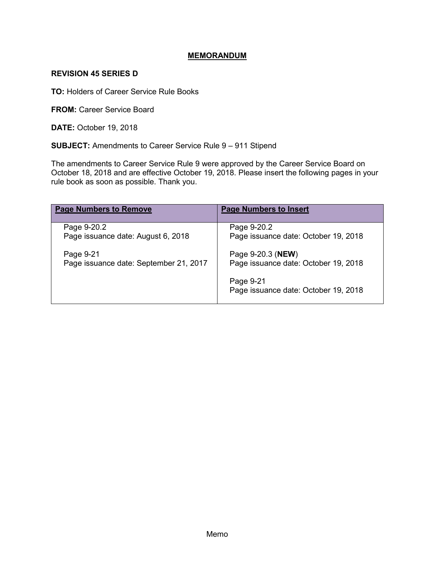# **MEMORANDUM**

### **REVISION 45 SERIES D**

**TO:** Holders of Career Service Rule Books

**FROM: Career Service Board** 

**DATE:** October 19, 2018

**SUBJECT:** Amendments to Career Service Rule 9 – 911 Stipend

The amendments to Career Service Rule 9 were approved by the Career Service Board on October 18, 2018 and are effective October 19, 2018. Please insert the following pages in your rule book as soon as possible. Thank you.

| <b>Page Numbers to Remove</b>          | <b>Page Numbers to Insert</b>                     |
|----------------------------------------|---------------------------------------------------|
| Page 9-20.2                            | Page 9-20.2                                       |
| Page issuance date: August 6, 2018     | Page issuance date: October 19, 2018              |
| Page 9-21                              | Page 9-20.3 ( <b>NEW</b> )                        |
| Page issuance date: September 21, 2017 | Page issuance date: October 19, 2018              |
|                                        | Page 9-21<br>Page issuance date: October 19, 2018 |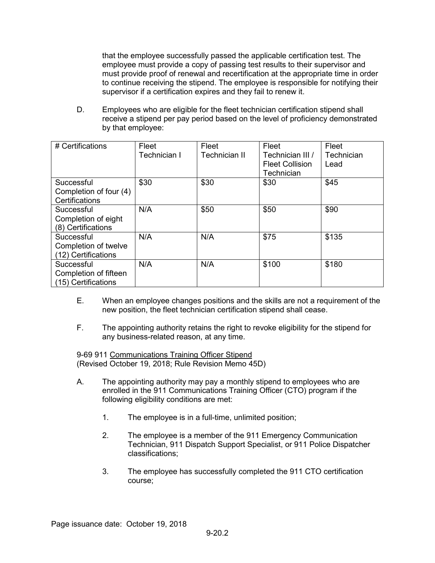that the employee successfully passed the applicable certification test. The employee must provide a copy of passing test results to their supervisor and must provide proof of renewal and recertification at the appropriate time in order to continue receiving the stipend. The employee is responsible for notifying their supervisor if a certification expires and they fail to renew it.

D. Employees who are eligible for the fleet technician certification stipend shall receive a stipend per pay period based on the level of proficiency demonstrated by that employee:

| # Certifications       | Fleet        | Fleet         | Fleet                  | Fleet      |
|------------------------|--------------|---------------|------------------------|------------|
|                        | Technician I | Technician II | Technician III /       | Technician |
|                        |              |               | <b>Fleet Collision</b> | Lead       |
|                        |              |               | Technician             |            |
| Successful             | \$30         | \$30          | \$30                   | \$45       |
| Completion of four (4) |              |               |                        |            |
| Certifications         |              |               |                        |            |
| Successful             | N/A          | \$50          | \$50                   | \$90       |
| Completion of eight    |              |               |                        |            |
| (8) Certifications     |              |               |                        |            |
| Successful             | N/A          | N/A           | \$75                   | \$135      |
| Completion of twelve   |              |               |                        |            |
| (12) Certifications    |              |               |                        |            |
| Successful             | N/A          | N/A           | \$100                  | \$180      |
| Completion of fifteen  |              |               |                        |            |
| (15) Certifications    |              |               |                        |            |

- E. When an employee changes positions and the skills are not a requirement of the new position, the fleet technician certification stipend shall cease.
- F. The appointing authority retains the right to revoke eligibility for the stipend for any business-related reason, at any time.

9-69 911 Communications Training Officer Stipend (Revised October 19, 2018; Rule Revision Memo 45D)

- A. The appointing authority may pay a monthly stipend to employees who are enrolled in the 911 Communications Training Officer (CTO) program if the following eligibility conditions are met:
	- 1. The employee is in a full-time, unlimited position;
	- 2. The employee is a member of the 911 Emergency Communication Technician, 911 Dispatch Support Specialist, or 911 Police Dispatcher classifications;
	- 3. The employee has successfully completed the 911 CTO certification course;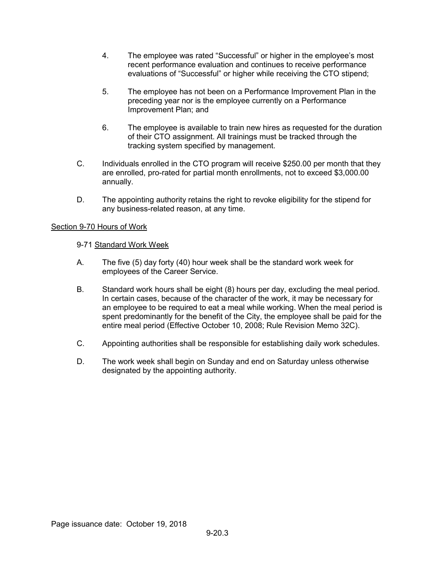- 4. The employee was rated "Successful" or higher in the employee's most recent performance evaluation and continues to receive performance evaluations of "Successful" or higher while receiving the CTO stipend;
- 5. The employee has not been on a Performance Improvement Plan in the preceding year nor is the employee currently on a Performance Improvement Plan; and
- 6. The employee is available to train new hires as requested for the duration of their CTO assignment. All trainings must be tracked through the tracking system specified by management.
- C. Individuals enrolled in the CTO program will receive \$250.00 per month that they are enrolled, pro-rated for partial month enrollments, not to exceed \$3,000.00 annually.
- D. The appointing authority retains the right to revoke eligibility for the stipend for any business-related reason, at any time.

# Section 9-70 Hours of Work

#### 9-71 Standard Work Week

- A. The five (5) day forty (40) hour week shall be the standard work week for employees of the Career Service.
- B. Standard work hours shall be eight (8) hours per day, excluding the meal period. In certain cases, because of the character of the work, it may be necessary for an employee to be required to eat a meal while working. When the meal period is spent predominantly for the benefit of the City, the employee shall be paid for the entire meal period (Effective October 10, 2008; Rule Revision Memo 32C).
- C. Appointing authorities shall be responsible for establishing daily work schedules.
- D. The work week shall begin on Sunday and end on Saturday unless otherwise designated by the appointing authority.